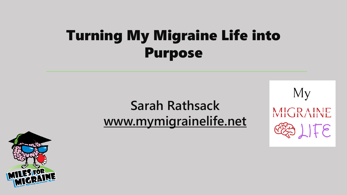### Turning My Migraine Life into Purpose

### **Sarah Rathsack [www.mymigrainelife.net](http://www.mymigrainelife.net/)**



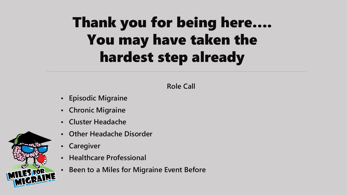## Thank you for being here…. You may have taken the hardest step already

#### **Role Call**

- **• Episodic Migraine**
- **• Chronic Migraine**
- **• Cluster Headache**
- **• Other Headache Disorder**
- **• Caregiver**
- **• Healthcare Professional**
- **• Been to a Miles for Migraine Event Before**

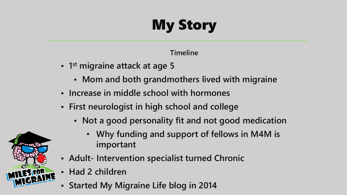# My Story

#### **Timeline**

- **• 1 st migraine attack at age 5**
	- **• Mom and both grandmothers lived with migraine**
- **• Increase in middle school with hormones**
- **• First neurologist in high school and college**
	- **• Not a good personality fit and not good medication**
		- **Why funding and support of fellows in M4M is important**
- **• Adult- Intervention specialist turned Chronic**
- **• Had 2 children**
- **• Started My Migraine Life blog in 2014**

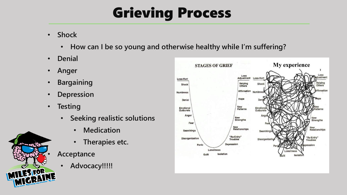### Grieving Process

- **Shock** 
	- **How can I be so young and otherwise healthy while I'm suffering?**
- **Denial**
- **Anger**
- **Bargaining**
- **Depression**
- **Testing**
	- **Seeking realistic solutions**
		- **Medication**
		- **Therapies etc.**
	- **Acceptance**
		- **Advocacy!!!!!**



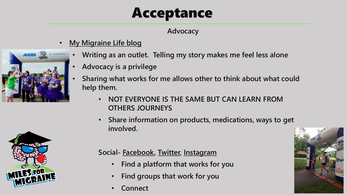### Acceptance

#### **Advocacy**

• **[My Migraine Life blog](http://www.mymigrainelife.net/)**



- **Advocacy is a privilege**
- **Sharing what works for me allows other to think about what could help them.** 
	- **NOT EVERYONE IS THE SAME BUT CAN LEARN FROM OTHERS JOURNEYS**
	- **Share information on products, medications, ways to get involved.**



**AMGEN SEE & NOVARTIS** 

#### **Social- [Facebook,](http://www.facebook.com/mymigrainlife) [Twitter,](http://www.twitter.com/mymigrainelife) [Instagram](http://www.instagram.com/mymigrainelife)**

- **Find a platform that works for you**
- **Find groups that work for you**
- **Connect**

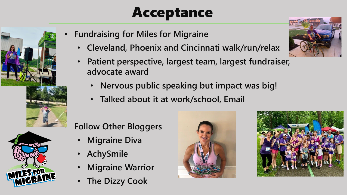### Acceptance







- **Fundraising for Miles for Migraine**
	- **Cleveland, Phoenix and Cincinnati walk/run/relax**
	- **Patient perspective, largest team, largest fundraiser, advocate award**
		- **Nervous public speaking but impact was big!**
		- **Talked about it at work/school, Email**

#### • **Follow Other Bloggers**

- **Migraine Diva**
- **AchySmile**
- **Migraine Warrior**
- **The Dizzy Cook**





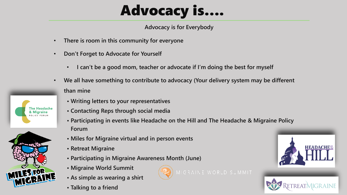## Advocacy is….

**Advocacy is for Everybody**

- **There is room in this community for everyone**
- **Don't Forget to Advocate for Yourself**
	- **I can't be a good mom, teacher or advocate if I'm doing the best for myself**
- **We all have something to contribute to advocacy (Your delivery system may be different than mine**
	- **• Writing letters to your representatives**
	- **• Contacting Reps through social media**
	- **• Participating in events like Headache on the Hill and The Headache & Migraine Policy Forum**
	- **• Miles for Migraine virtual and in person events**
	- **• Retreat Migraine**
	- **• Participating in Migraine Awareness Month (June)**
	- **• Migraine World Summit**
	- **• As simple as wearing a shirt**
	- **• Talking to a friend**







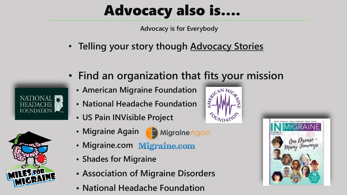## Advocacy also is….

**Advocacy is for Everybody**

• **Telling your story though [Advocacy Stories](https://docs.google.com/forms/d/e/1FAIpQLSeP6W08UfYg0Ugjl5DdBj0QcB6zPEZgrEQEXVSVDeaeaXtLUg/viewform)** 





- **Find an organization that fits your mission**
	- **• American Migraine Foundation**
	- **• National Headache Foundation**
	- **• US Pain INVisible Project**
	- Migraine Again (**Ca) Migraine Again**
- - **• Migraine.com**
	- **• Shades for Migraine**
	- **• Association of Migraine Disorders**
	- **• National Headache Foundation**